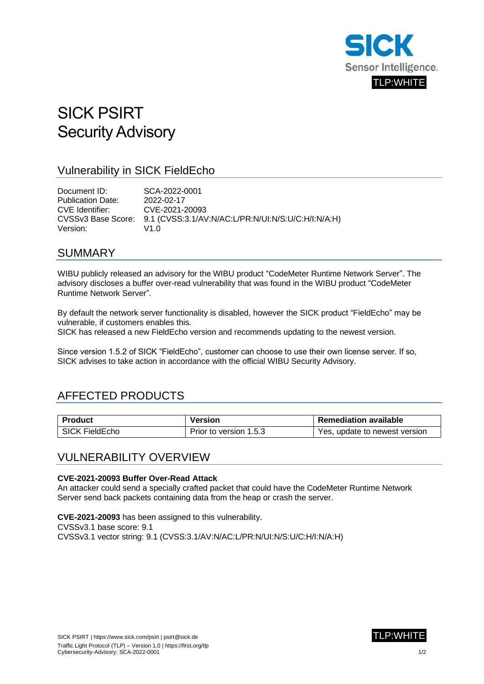

# SICK PSIRT Security Advisory

### Vulnerability in SICK FieldEcho

Document ID: SCA-2022-0001 Publication Date: 2022-02-17 CVE Identifier: CVE-2021-20093 CVSSv3 Base Score: 9.1 (CVSS:3.1/AV:N/AC:L/PR:N/UI:N/S:U/C:H/I:N/A:H) Version: V1.0

### SUMMARY

WIBU publicly released an advisory for the WIBU product "CodeMeter Runtime Network Server". The advisory discloses a buffer over-read vulnerability that was found in the WIBU product "CodeMeter Runtime Network Server".

By default the network server functionality is disabled, however the SICK product "FieldEcho" may be vulnerable, if customers enables this.

SICK has released a new FieldEcho version and recommends updating to the newest version.

Since version 1.5.2 of SICK "FieldEcho", customer can choose to use their own license server. If so, SICK advises to take action in accordance with the official WIBU Security Advisory.

# AFFECTED PRODUCTS

| <b>Product</b>   | Version                | <b>Remediation available</b>  |
|------------------|------------------------|-------------------------------|
| I SICK FieldEcho | Prior to version 1.5.3 | Yes, update to newest version |

### VULNERABILITY OVERVIEW

#### **CVE-2021-20093 Buffer Over-Read Attack**

An attacker could send a specially crafted packet that could have the CodeMeter Runtime Network Server send back packets containing data from the heap or crash the server.

**CVE-2021-20093** has been assigned to this vulnerability.

CVSSv3.1 base score: 9.1

CVSSv3.1 vector string: 9.1 (CVSS:3.1/AV:N/AC:L/PR:N/UI:N/S:U/C:H/I:N/A:H)